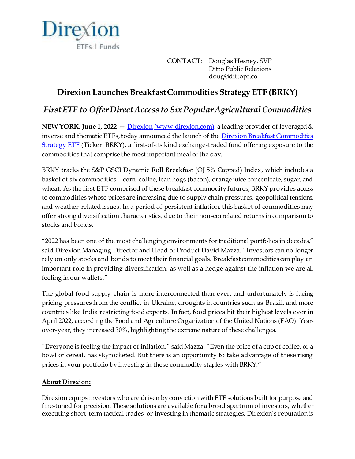

CONTACT: Douglas Hesney, SVP Ditto Public Relations doug@dittopr.co

## **Direxion Launches Breakfast Commodities Strategy ETF (BRKY)**

## *First ETF to Offer Direct Access to Six Popular Agricultural Commodities*

**NEW YORK, June 1, 2022 –** <u>[Direxion](https://www.direxion.com/??utm_source=direxion&utm_medium=referral&utm_campaign=mnm&utm_content=press+release) [\(www.direxion.com\)](http://www.direxion.com/)</u>, a leading provider of leveraged & inverse and thematic ETFs, today announced the launch of th[e Direxion Breakfast Commodities](https://www.direxion.com/product/breakfast-commodities-strategy-etf)  [Strategy ETF](https://www.direxion.com/product/breakfast-commodities-strategy-etf) (Ticker: BRKY), a first-of-its kind exchange-traded fund offering exposure to the commodities that comprise the most important meal of the day.

BRKY tracks the S&P GSCI Dynamic Roll Breakfast (OJ 5% Capped) Index, which includes a basket of six commodities—corn, coffee, lean hogs (bacon), orange juice concentrate, sugar, and wheat. As the first ETF comprised of these breakfast commodity futures, BRKY provides access to commodities whose prices are increasing due to supply chain pressures, geopolitical tensions, and weather-related issues. In a period of persistent inflation, this basket of commodities may offer strong diversification characteristics, due to their non-correlated returns in comparison to stocks and bonds.

"2022 has been one of the most challenging environments for traditional portfolios in decades," said Direxion Managing Director and Head of Product David Mazza. "Investors can no longer rely on only stocks and bonds to meet their financial goals. Breakfast commodities can play an important role in providing diversification, as well as a hedge against the inflation we are all feeling in our wallets."

The global food supply chain is more interconnected than ever, and unfortunately is facing pricing pressures from the conflict in Ukraine, droughts in countries such as Brazil, and more countries like India restricting food exports. In fact, food prices hit their highest levels ever in April 2022, according the Food and Agriculture Organization of the United Nations (FAO). Yearover-year, they increased 30%, highlighting the extreme nature of these challenges.

"Everyone is feeling the impact of inflation," said Mazza. "Even the price of a cup of coffee, or a bowl of cereal, has skyrocketed. But there is an opportunity to take advantage of these rising prices in your portfolio by investing in these commodity staples with BRKY."

## **About Direxion:**

Direxion equips investors who are driven by conviction with ETF solutions built for purpose and fine-tuned for precision. These solutions are available for a broad spectrum of investors, whether executing short-term tactical trades, or investing in thematic strategies. Direxion's reputation is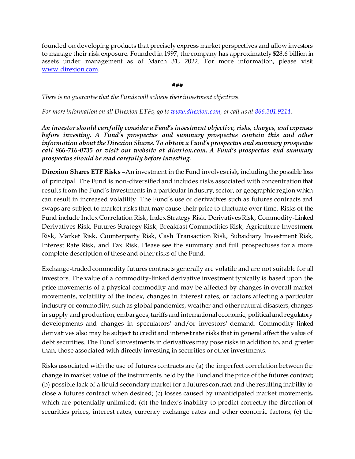founded on developing products that precisely express market perspectives and allow investors to manage their risk exposure. Founded in 1997, the company has approximately \$28.6 billion in assets under management as of March 31, 2022. For more information, please visit [www.direxion.com](http://www.direxion.com/).

**###**

*There is no guarantee that the Funds will achieve their investment objectives.*

*For more information on all Direxion ETFs, go t[o www.direxion.com](http://www.direxion.com/), or call us a[t 866.301.9214](tel:8663019214).*

*An investor should carefully consider a Fund's investment objective, risks, charges, and expenses before investing. A Fund's prospectus and summary prospectus contain this and other information about the Direxion Shares. To obtain a Fund's prospectus and summary prospectus call 866-716-0735 or visit our website at direxion.com. A Fund's prospectus and summary prospectus should be read carefully before investing.*

**Direxion Shares ETF Risks –**An investment in the Fund involves risk, including the possible loss of principal. The Fund is non-diversified and includes risks associated with concentration that results from the Fund's investments in a particular industry, sector, or geographic region which can result in increased volatility. The Fund's use of derivatives such as futures contracts and swaps are subject to market risks that may cause their price to fluctuate over time. Risks of the Fund include Index Correlation Risk, Index Strategy Risk, Derivatives Risk, Commodity-Linked Derivatives Risk, Futures Strategy Risk, Breakfast Commodities Risk, Agriculture Investment Risk, Market Risk, Counterparty Risk, Cash Transaction Risk, Subsidiary Investment Risk, Interest Rate Risk, and Tax Risk. Please see the summary and full prospectuses for a more complete description of these and other risks of the Fund.

Exchange-traded commodity futures contracts generally are volatile and are not suitable for all investors. The value of a commodity-linked derivative investment typically is based upon the price movements of a physical commodity and may be affected by changes in overall market movements, volatility of the index, changes in interest rates, or factors affecting a particular industry or commodity, such as global pandemics, weather and other natural disasters, changes in supply and production, embargoes, tariffs and international economic, political and regulatory developments and changes in speculators' and/or investors' demand. Commodity-linked derivatives also may be subject to credit and interest rate risks that in general affect the value of debt securities. The Fund's investments in derivatives may pose risks in addition to, and greater than, those associated with directly investing in securities or other investments.

Risks associated with the use of futures contracts are (a) the imperfect correlation between the change in market value of the instruments held by the Fund and the price of the futures contract; (b) possible lack of a liquid secondary market for a futures contract and the resulting inability to close a futures contract when desired; (c) losses caused by unanticipated market movements, which are potentially unlimited; (d) the Index's inability to predict correctly the direction of securities prices, interest rates, currency exchange rates and other economic factors; (e) the